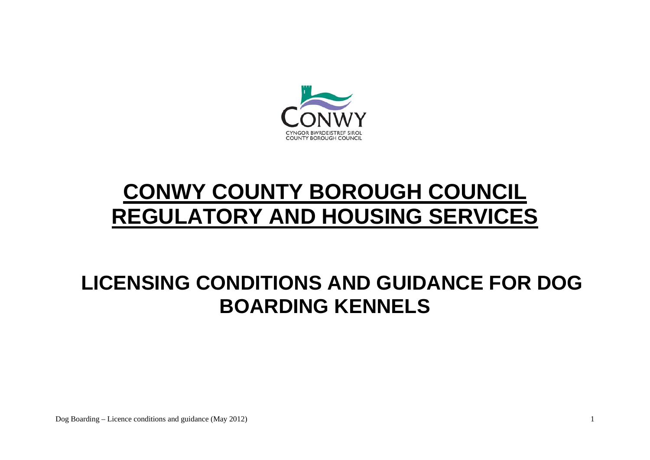

# **CONWY COUNTY BOROUGH COUNCIL REGULATORY AND HOUSING SERVICES**

## **LICENSING CONDITIONS AND GUIDANCE FOR DOG BOARDING KENNELS**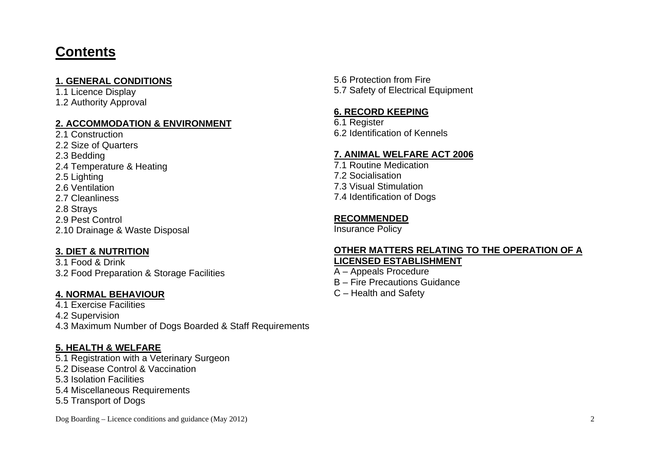## **Contents**

#### **1. GENERAL CONDITIONS**

1.1 Licence Display 1.2 Authority Approval

#### **2. ACCOMMODATION & ENVIRONMENT**

2.1 Construction 2.2 Size of Quarters 2.3 Bedding 2.4 Temperature & Heating 2.5 Lighting 2.6 Ventilation 2.7 Cleanliness 2.8 Strays 2.9 Pest Control 2.10 Drainage & Waste Disposal

#### **3. DIET & NUTRITION**

3.1 Food & Drink 3.2 Food Preparation & Storage Facilities

#### **4. NORMAL BEHAVIOUR**

4.1 Exercise Facilities 4.2 Supervision 4.3 Maximum Number of Dogs Boarded & Staff Requirements

#### **5. HEALTH & WELFARE**

5.1 Registration with a Veterinary Surgeon

- 5.2 Disease Control & Vaccination
- 5.3 Isolation Facilities
- 5.4 Miscellaneous Requirements
- 5.5 Transport of Dogs

Dog Boarding – Licence conditions and guidance (May 2012) 2

5.6 Protection from Fire 5.7 Safety of Electrical Equipment

#### **6. RECORD KEEPING**

6.1 Register 6.2 Identification of Kennels

#### **7. ANIMAL WELFARE ACT 2006**

7.1 Routine Medication 7.2 Socialisation 7.3 Visual Stimulation 7.4 Identification of Dogs

#### **RECOMMENDED**

Insurance Policy

#### **OTHER MATTERS RELATING TO THE OPERATION OF A LICENSED ESTABLISHMENT**

A – Appeals Procedure

- B Fire Precautions Guidance
- C Health and Safety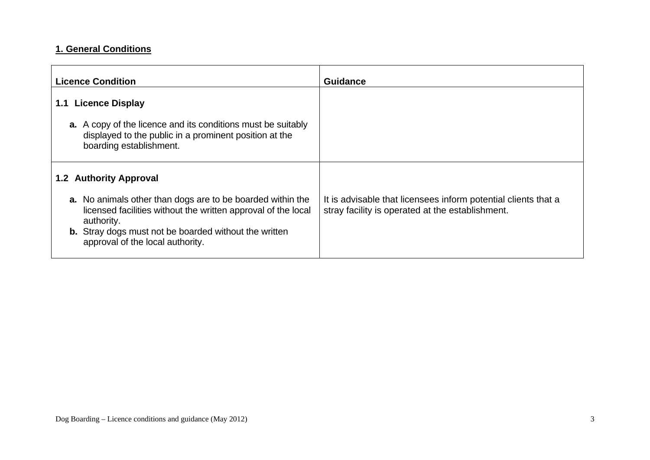## **1. General Conditions**

| <b>Licence Condition</b>                                                                                                                                                                                                                             | <b>Guidance</b>                                                                                                    |
|------------------------------------------------------------------------------------------------------------------------------------------------------------------------------------------------------------------------------------------------------|--------------------------------------------------------------------------------------------------------------------|
| <b>Licence Display</b><br>1.1                                                                                                                                                                                                                        |                                                                                                                    |
| <b>a.</b> A copy of the licence and its conditions must be suitably<br>displayed to the public in a prominent position at the<br>boarding establishment.                                                                                             |                                                                                                                    |
| 1.2 Authority Approval                                                                                                                                                                                                                               |                                                                                                                    |
| <b>a.</b> No animals other than dogs are to be boarded within the<br>licensed facilities without the written approval of the local<br>authority.<br><b>b.</b> Stray dogs must not be boarded without the written<br>approval of the local authority. | It is advisable that licensees inform potential clients that a<br>stray facility is operated at the establishment. |
|                                                                                                                                                                                                                                                      |                                                                                                                    |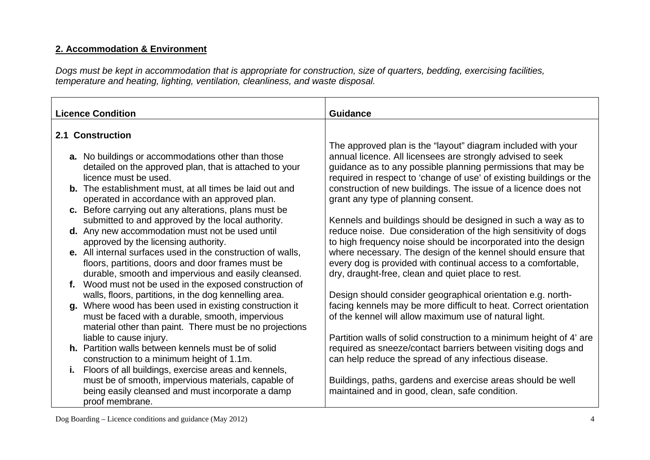## **2. Accommodation & Environment**

*Dogs must be kept in accommodation that is appropriate for construction, size of quarters, bedding, exercising facilities, temperature and heating, lighting, ventilation, cleanliness, and waste disposal.* 

| <b>Guidance</b>                                                                                                                   |
|-----------------------------------------------------------------------------------------------------------------------------------|
|                                                                                                                                   |
| The approved plan is the "layout" diagram included with your                                                                      |
| annual licence. All licensees are strongly advised to seek                                                                        |
| guidance as to any possible planning permissions that may be                                                                      |
| required in respect to 'change of use' of existing buildings or the                                                               |
| construction of new buildings. The issue of a licence does not                                                                    |
| grant any type of planning consent.                                                                                               |
|                                                                                                                                   |
| Kennels and buildings should be designed in such a way as to                                                                      |
| reduce noise. Due consideration of the high sensitivity of dogs<br>to high frequency noise should be incorporated into the design |
| where necessary. The design of the kennel should ensure that                                                                      |
| every dog is provided with continual access to a comfortable,                                                                     |
| dry, draught-free, clean and quiet place to rest.                                                                                 |
|                                                                                                                                   |
| Design should consider geographical orientation e.g. north-                                                                       |
| facing kennels may be more difficult to heat. Correct orientation                                                                 |
| of the kennel will allow maximum use of natural light.                                                                            |
|                                                                                                                                   |
| Partition walls of solid construction to a minimum height of 4' are                                                               |
| required as sneeze/contact barriers between visiting dogs and                                                                     |
| can help reduce the spread of any infectious disease.                                                                             |
|                                                                                                                                   |
| Buildings, paths, gardens and exercise areas should be well                                                                       |
| maintained and in good, clean, safe condition.                                                                                    |
|                                                                                                                                   |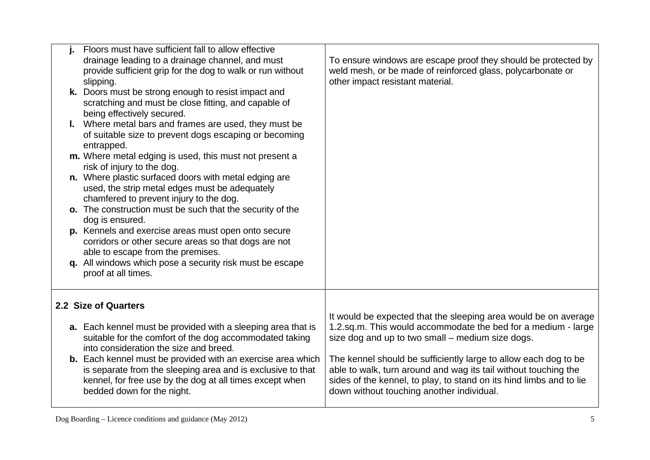| Floors must have sufficient fall to allow effective<br>drainage leading to a drainage channel, and must<br>provide sufficient grip for the dog to walk or run without<br>slipping.<br>k. Doors must be strong enough to resist impact and<br>scratching and must be close fitting, and capable of<br>being effectively secured.<br>I. Where metal bars and frames are used, they must be<br>of suitable size to prevent dogs escaping or becoming<br>entrapped.<br>m. Where metal edging is used, this must not present a<br>risk of injury to the dog.<br>n. Where plastic surfaced doors with metal edging are<br>used, the strip metal edges must be adequately<br>chamfered to prevent injury to the dog.<br>o. The construction must be such that the security of the<br>dog is ensured.<br>p. Kennels and exercise areas must open onto secure<br>corridors or other secure areas so that dogs are not<br>able to escape from the premises.<br>q. All windows which pose a security risk must be escape<br>proof at all times. | To ensure windows are escape proof they should be protected by<br>weld mesh, or be made of reinforced glass, polycarbonate or<br>other impact resistant material.                                                                                                                                                                                                                                                                              |
|--------------------------------------------------------------------------------------------------------------------------------------------------------------------------------------------------------------------------------------------------------------------------------------------------------------------------------------------------------------------------------------------------------------------------------------------------------------------------------------------------------------------------------------------------------------------------------------------------------------------------------------------------------------------------------------------------------------------------------------------------------------------------------------------------------------------------------------------------------------------------------------------------------------------------------------------------------------------------------------------------------------------------------------|------------------------------------------------------------------------------------------------------------------------------------------------------------------------------------------------------------------------------------------------------------------------------------------------------------------------------------------------------------------------------------------------------------------------------------------------|
| 2.2 Size of Quarters<br><b>a.</b> Each kennel must be provided with a sleeping area that is<br>suitable for the comfort of the dog accommodated taking<br>into consideration the size and breed.<br><b>b.</b> Each kennel must be provided with an exercise area which<br>is separate from the sleeping area and is exclusive to that<br>kennel, for free use by the dog at all times except when<br>bedded down for the night.                                                                                                                                                                                                                                                                                                                                                                                                                                                                                                                                                                                                      | It would be expected that the sleeping area would be on average<br>1.2.sq.m. This would accommodate the bed for a medium - large<br>size dog and up to two small – medium size dogs.<br>The kennel should be sufficiently large to allow each dog to be<br>able to walk, turn around and wag its tail without touching the<br>sides of the kennel, to play, to stand on its hind limbs and to lie<br>down without touching another individual. |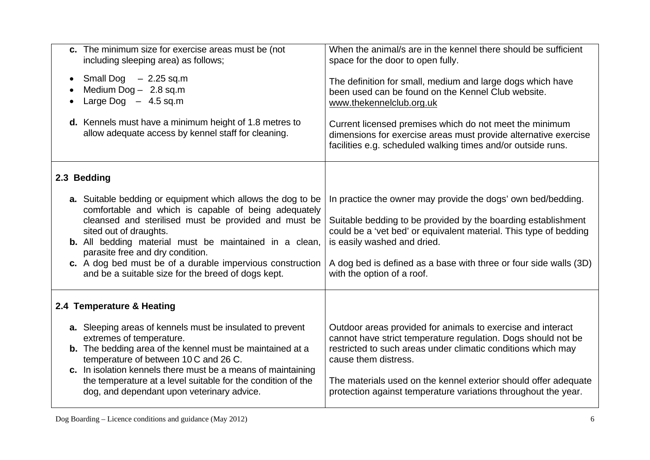| c. The minimum size for exercise areas must be (not<br>including sleeping area) as follows;                                                                                                                                                                                                                                                                                                                                   | When the animal/s are in the kennel there should be sufficient<br>space for the door to open fully.                                                                                                                                                                                                                                                       |
|-------------------------------------------------------------------------------------------------------------------------------------------------------------------------------------------------------------------------------------------------------------------------------------------------------------------------------------------------------------------------------------------------------------------------------|-----------------------------------------------------------------------------------------------------------------------------------------------------------------------------------------------------------------------------------------------------------------------------------------------------------------------------------------------------------|
| Small Dog $-2.25$ sq.m<br>Medium $Dog - 2.8$ sq.m<br>Large Dog $-4.5$ sq.m                                                                                                                                                                                                                                                                                                                                                    | The definition for small, medium and large dogs which have<br>been used can be found on the Kennel Club website.<br>www.thekennelclub.org.uk                                                                                                                                                                                                              |
| d. Kennels must have a minimum height of 1.8 metres to<br>allow adequate access by kennel staff for cleaning.                                                                                                                                                                                                                                                                                                                 | Current licensed premises which do not meet the minimum<br>dimensions for exercise areas must provide alternative exercise<br>facilities e.g. scheduled walking times and/or outside runs.                                                                                                                                                                |
| 2.3 Bedding                                                                                                                                                                                                                                                                                                                                                                                                                   |                                                                                                                                                                                                                                                                                                                                                           |
| a. Suitable bedding or equipment which allows the dog to be<br>comfortable and which is capable of being adequately<br>cleansed and sterilised must be provided and must be<br>sited out of draughts.<br><b>b.</b> All bedding material must be maintained in a clean,<br>parasite free and dry condition.<br>c. A dog bed must be of a durable impervious construction<br>and be a suitable size for the breed of dogs kept. | In practice the owner may provide the dogs' own bed/bedding.<br>Suitable bedding to be provided by the boarding establishment<br>could be a 'vet bed' or equivalent material. This type of bedding<br>is easily washed and dried.<br>A dog bed is defined as a base with three or four side walls (3D)<br>with the option of a roof.                      |
| 2.4 Temperature & Heating                                                                                                                                                                                                                                                                                                                                                                                                     |                                                                                                                                                                                                                                                                                                                                                           |
| a. Sleeping areas of kennels must be insulated to prevent<br>extremes of temperature.<br><b>b.</b> The bedding area of the kennel must be maintained at a<br>temperature of between 10 C and 26 C.<br>c. In isolation kennels there must be a means of maintaining<br>the temperature at a level suitable for the condition of the<br>dog, and dependant upon veterinary advice.                                              | Outdoor areas provided for animals to exercise and interact<br>cannot have strict temperature regulation. Dogs should not be<br>restricted to such areas under climatic conditions which may<br>cause them distress.<br>The materials used on the kennel exterior should offer adequate<br>protection against temperature variations throughout the year. |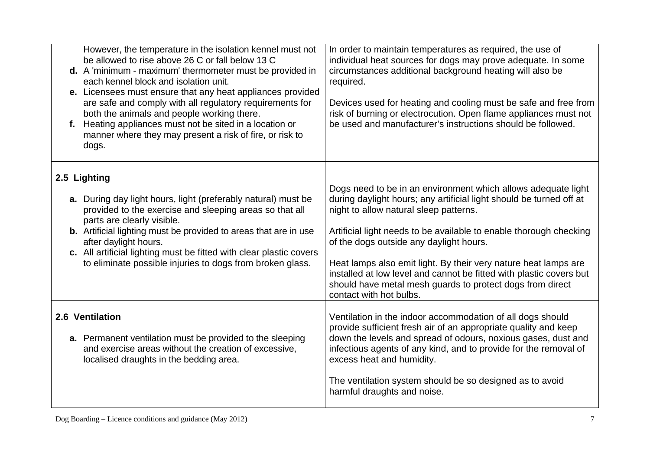| However, the temperature in the isolation kennel must not<br>be allowed to rise above 26 C or fall below 13 C<br>d. A 'minimum - maximum' thermometer must be provided in<br>each kennel block and isolation unit.<br>e. Licensees must ensure that any heat appliances provided<br>are safe and comply with all regulatory requirements for<br>both the animals and people working there.<br>f. Heating appliances must not be sited in a location or<br>manner where they may present a risk of fire, or risk to<br>dogs. | In order to maintain temperatures as required, the use of<br>individual heat sources for dogs may prove adequate. In some<br>circumstances additional background heating will also be<br>required.<br>Devices used for heating and cooling must be safe and free from<br>risk of burning or electrocution. Open flame appliances must not<br>be used and manufacturer's instructions should be followed.                                                                                                                          |
|-----------------------------------------------------------------------------------------------------------------------------------------------------------------------------------------------------------------------------------------------------------------------------------------------------------------------------------------------------------------------------------------------------------------------------------------------------------------------------------------------------------------------------|-----------------------------------------------------------------------------------------------------------------------------------------------------------------------------------------------------------------------------------------------------------------------------------------------------------------------------------------------------------------------------------------------------------------------------------------------------------------------------------------------------------------------------------|
| 2.5 Lighting<br>a. During day light hours, light (preferably natural) must be<br>provided to the exercise and sleeping areas so that all<br>parts are clearly visible.<br><b>b.</b> Artificial lighting must be provided to areas that are in use<br>after daylight hours.<br>c. All artificial lighting must be fitted with clear plastic covers<br>to eliminate possible injuries to dogs from broken glass.                                                                                                              | Dogs need to be in an environment which allows adequate light<br>during daylight hours; any artificial light should be turned off at<br>night to allow natural sleep patterns.<br>Artificial light needs to be available to enable thorough checking<br>of the dogs outside any daylight hours.<br>Heat lamps also emit light. By their very nature heat lamps are<br>installed at low level and cannot be fitted with plastic covers but<br>should have metal mesh guards to protect dogs from direct<br>contact with hot bulbs. |
| 2.6 Ventilation<br>a. Permanent ventilation must be provided to the sleeping<br>and exercise areas without the creation of excessive,<br>localised draughts in the bedding area.                                                                                                                                                                                                                                                                                                                                            | Ventilation in the indoor accommodation of all dogs should<br>provide sufficient fresh air of an appropriate quality and keep<br>down the levels and spread of odours, noxious gases, dust and<br>infectious agents of any kind, and to provide for the removal of<br>excess heat and humidity.<br>The ventilation system should be so designed as to avoid<br>harmful draughts and noise.                                                                                                                                        |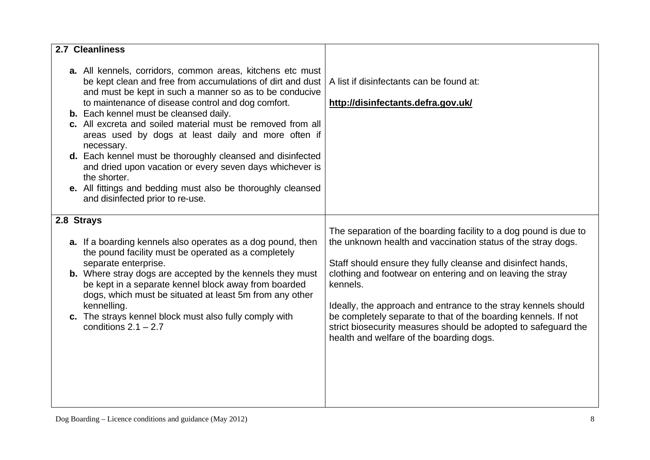| 2.7 Cleanliness                                                                                                                                                                                                                                                                                                                                                                                                                                                                                                                                                                                                                                                              |                                                                                                                                                                                                                                                                                                                                                                                                                                                                                                                             |
|------------------------------------------------------------------------------------------------------------------------------------------------------------------------------------------------------------------------------------------------------------------------------------------------------------------------------------------------------------------------------------------------------------------------------------------------------------------------------------------------------------------------------------------------------------------------------------------------------------------------------------------------------------------------------|-----------------------------------------------------------------------------------------------------------------------------------------------------------------------------------------------------------------------------------------------------------------------------------------------------------------------------------------------------------------------------------------------------------------------------------------------------------------------------------------------------------------------------|
| a. All kennels, corridors, common areas, kitchens etc must<br>be kept clean and free from accumulations of dirt and dust<br>and must be kept in such a manner so as to be conducive<br>to maintenance of disease control and dog comfort.<br><b>b.</b> Each kennel must be cleansed daily.<br>c. All excreta and soiled material must be removed from all<br>areas used by dogs at least daily and more often if<br>necessary.<br>d. Each kennel must be thoroughly cleansed and disinfected<br>and dried upon vacation or every seven days whichever is<br>the shorter.<br>e. All fittings and bedding must also be thoroughly cleansed<br>and disinfected prior to re-use. | A list if disinfectants can be found at:<br>http://disinfectants.defra.gov.uk/                                                                                                                                                                                                                                                                                                                                                                                                                                              |
| 2.8 Strays<br><b>a.</b> If a boarding kennels also operates as a dog pound, then<br>the pound facility must be operated as a completely<br>separate enterprise.<br>b. Where stray dogs are accepted by the kennels they must<br>be kept in a separate kennel block away from boarded<br>dogs, which must be situated at least 5m from any other<br>kennelling.<br>c. The strays kennel block must also fully comply with<br>conditions $2.1 - 2.7$                                                                                                                                                                                                                           | The separation of the boarding facility to a dog pound is due to<br>the unknown health and vaccination status of the stray dogs.<br>Staff should ensure they fully cleanse and disinfect hands,<br>clothing and footwear on entering and on leaving the stray<br>kennels.<br>Ideally, the approach and entrance to the stray kennels should<br>be completely separate to that of the boarding kennels. If not<br>strict biosecurity measures should be adopted to safeguard the<br>health and welfare of the boarding dogs. |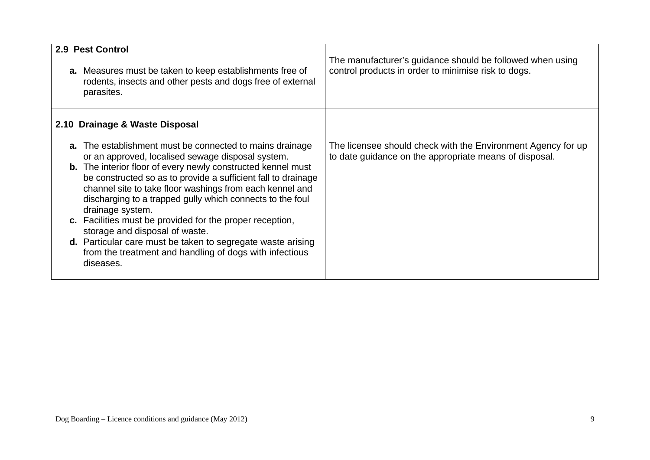| 2.9 Pest Control<br>a. Measures must be taken to keep establishments free of<br>rodents, insects and other pests and dogs free of external<br>parasites.                                                                                                                                                                                                                                                                                                                                                                                                                                                                                       | The manufacturer's guidance should be followed when using<br>control products in order to minimise risk to dogs.       |
|------------------------------------------------------------------------------------------------------------------------------------------------------------------------------------------------------------------------------------------------------------------------------------------------------------------------------------------------------------------------------------------------------------------------------------------------------------------------------------------------------------------------------------------------------------------------------------------------------------------------------------------------|------------------------------------------------------------------------------------------------------------------------|
| 2.10 Drainage & Waste Disposal                                                                                                                                                                                                                                                                                                                                                                                                                                                                                                                                                                                                                 |                                                                                                                        |
| <b>a.</b> The establishment must be connected to mains drainage<br>or an approved, localised sewage disposal system.<br><b>b.</b> The interior floor of every newly constructed kennel must<br>be constructed so as to provide a sufficient fall to drainage<br>channel site to take floor washings from each kennel and<br>discharging to a trapped gully which connects to the foul<br>drainage system.<br>c. Facilities must be provided for the proper reception,<br>storage and disposal of waste.<br>d. Particular care must be taken to segregate waste arising<br>from the treatment and handling of dogs with infectious<br>diseases. | The licensee should check with the Environment Agency for up<br>to date guidance on the appropriate means of disposal. |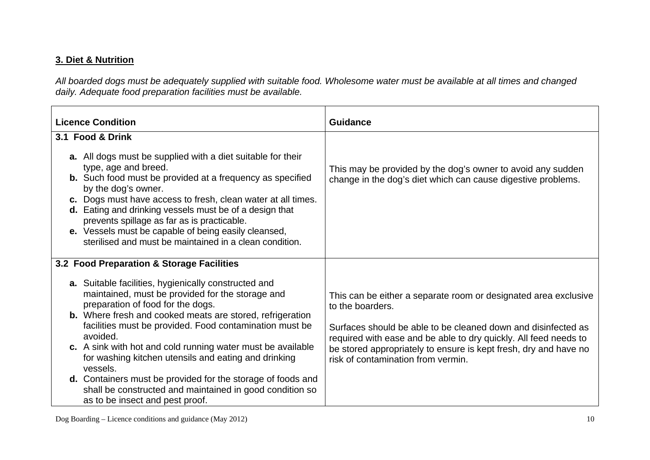## **3. Diet & Nutrition**

*All boarded dogs must be adequately supplied with suitable food. Wholesome water must be available at all times and changed daily. Adequate food preparation facilities must be available.* 

| <b>Licence Condition</b>                                                                                                                                                                                                                                                                                                                                                                                                                                                                                                                                                                                | <b>Guidance</b>                                                                                                                                                                                                                                                                                                                    |
|---------------------------------------------------------------------------------------------------------------------------------------------------------------------------------------------------------------------------------------------------------------------------------------------------------------------------------------------------------------------------------------------------------------------------------------------------------------------------------------------------------------------------------------------------------------------------------------------------------|------------------------------------------------------------------------------------------------------------------------------------------------------------------------------------------------------------------------------------------------------------------------------------------------------------------------------------|
| 3.1 Food & Drink                                                                                                                                                                                                                                                                                                                                                                                                                                                                                                                                                                                        |                                                                                                                                                                                                                                                                                                                                    |
| <b>a.</b> All dogs must be supplied with a diet suitable for their<br>type, age and breed.<br><b>b.</b> Such food must be provided at a frequency as specified<br>by the dog's owner.<br>c. Dogs must have access to fresh, clean water at all times.<br>d. Eating and drinking vessels must be of a design that<br>prevents spillage as far as is practicable.<br>e. Vessels must be capable of being easily cleansed,<br>sterilised and must be maintained in a clean condition.                                                                                                                      | This may be provided by the dog's owner to avoid any sudden<br>change in the dog's diet which can cause digestive problems.                                                                                                                                                                                                        |
| 3.2 Food Preparation & Storage Facilities                                                                                                                                                                                                                                                                                                                                                                                                                                                                                                                                                               |                                                                                                                                                                                                                                                                                                                                    |
| <b>a.</b> Suitable facilities, hygienically constructed and<br>maintained, must be provided for the storage and<br>preparation of food for the dogs.<br><b>b.</b> Where fresh and cooked meats are stored, refrigeration<br>facilities must be provided. Food contamination must be<br>avoided.<br>c. A sink with hot and cold running water must be available<br>for washing kitchen utensils and eating and drinking<br>vessels.<br><b>d.</b> Containers must be provided for the storage of foods and<br>shall be constructed and maintained in good condition so<br>as to be insect and pest proof. | This can be either a separate room or designated area exclusive<br>to the boarders.<br>Surfaces should be able to be cleaned down and disinfected as<br>required with ease and be able to dry quickly. All feed needs to<br>be stored appropriately to ensure is kept fresh, dry and have no<br>risk of contamination from vermin. |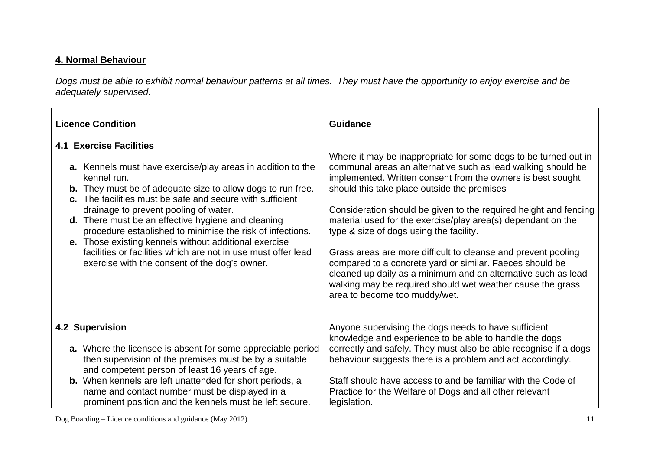### **4. Normal Behaviour**

*Dogs must be able to exhibit normal behaviour patterns at all times. They must have the opportunity to enjoy exercise and be adequately supervised.* 

| <b>Licence Condition</b>                                                                                                                                                                                                                                                                                                                                                                                                                                                                                                                                                               | <b>Guidance</b>                                                                                                                                                                                                                                                                                                                                                                                                                                                                                                                                                                                                                                                                                                           |
|----------------------------------------------------------------------------------------------------------------------------------------------------------------------------------------------------------------------------------------------------------------------------------------------------------------------------------------------------------------------------------------------------------------------------------------------------------------------------------------------------------------------------------------------------------------------------------------|---------------------------------------------------------------------------------------------------------------------------------------------------------------------------------------------------------------------------------------------------------------------------------------------------------------------------------------------------------------------------------------------------------------------------------------------------------------------------------------------------------------------------------------------------------------------------------------------------------------------------------------------------------------------------------------------------------------------------|
| <b>4.1 Exercise Facilities</b><br>a. Kennels must have exercise/play areas in addition to the<br>kennel run.<br><b>b.</b> They must be of adequate size to allow dogs to run free.<br>c. The facilities must be safe and secure with sufficient<br>drainage to prevent pooling of water.<br>d. There must be an effective hygiene and cleaning<br>procedure established to minimise the risk of infections.<br>e. Those existing kennels without additional exercise<br>facilities or facilities which are not in use must offer lead<br>exercise with the consent of the dog's owner. | Where it may be inappropriate for some dogs to be turned out in<br>communal areas an alternative such as lead walking should be<br>implemented. Written consent from the owners is best sought<br>should this take place outside the premises<br>Consideration should be given to the required height and fencing<br>material used for the exercise/play area(s) dependant on the<br>type & size of dogs using the facility.<br>Grass areas are more difficult to cleanse and prevent pooling<br>compared to a concrete yard or similar. Faeces should be<br>cleaned up daily as a minimum and an alternative such as lead<br>walking may be required should wet weather cause the grass<br>area to become too muddy/wet. |
| 4.2 Supervision                                                                                                                                                                                                                                                                                                                                                                                                                                                                                                                                                                        | Anyone supervising the dogs needs to have sufficient                                                                                                                                                                                                                                                                                                                                                                                                                                                                                                                                                                                                                                                                      |
| a. Where the licensee is absent for some appreciable period                                                                                                                                                                                                                                                                                                                                                                                                                                                                                                                            | knowledge and experience to be able to handle the dogs                                                                                                                                                                                                                                                                                                                                                                                                                                                                                                                                                                                                                                                                    |
| then supervision of the premises must be by a suitable                                                                                                                                                                                                                                                                                                                                                                                                                                                                                                                                 | correctly and safely. They must also be able recognise if a dogs                                                                                                                                                                                                                                                                                                                                                                                                                                                                                                                                                                                                                                                          |
| and competent person of least 16 years of age.                                                                                                                                                                                                                                                                                                                                                                                                                                                                                                                                         | behaviour suggests there is a problem and act accordingly.                                                                                                                                                                                                                                                                                                                                                                                                                                                                                                                                                                                                                                                                |
| b. When kennels are left unattended for short periods, a                                                                                                                                                                                                                                                                                                                                                                                                                                                                                                                               | Staff should have access to and be familiar with the Code of                                                                                                                                                                                                                                                                                                                                                                                                                                                                                                                                                                                                                                                              |
| name and contact number must be displayed in a                                                                                                                                                                                                                                                                                                                                                                                                                                                                                                                                         | Practice for the Welfare of Dogs and all other relevant                                                                                                                                                                                                                                                                                                                                                                                                                                                                                                                                                                                                                                                                   |
| prominent position and the kennels must be left secure.                                                                                                                                                                                                                                                                                                                                                                                                                                                                                                                                | legislation.                                                                                                                                                                                                                                                                                                                                                                                                                                                                                                                                                                                                                                                                                                              |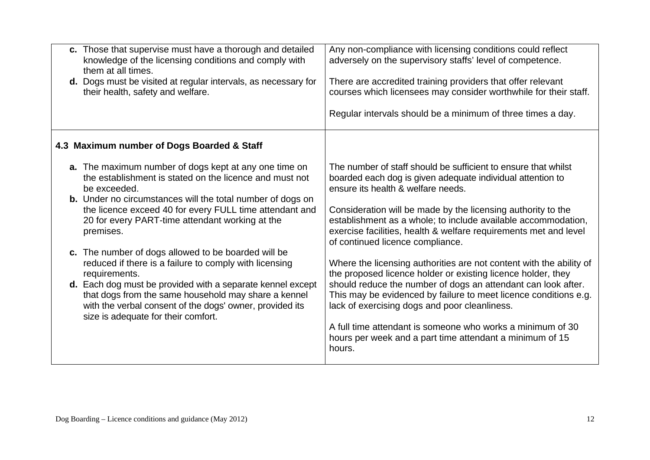|                                            | c. Those that supervise must have a thorough and detailed<br>knowledge of the licensing conditions and comply with<br>them at all times.<br>d. Dogs must be visited at regular intervals, as necessary for<br>their health, safety and welfare.                                                                                                                                                                                                                                                                                                                                                                                               | Any non-compliance with licensing conditions could reflect<br>adversely on the supervisory staffs' level of competence.<br>There are accredited training providers that offer relevant<br>courses which licensees may consider worthwhile for their staff.<br>Regular intervals should be a minimum of three times a day.                                                                                                                                                                                                                                                                                                                                                                                                                                                                                                                                                    |
|--------------------------------------------|-----------------------------------------------------------------------------------------------------------------------------------------------------------------------------------------------------------------------------------------------------------------------------------------------------------------------------------------------------------------------------------------------------------------------------------------------------------------------------------------------------------------------------------------------------------------------------------------------------------------------------------------------|------------------------------------------------------------------------------------------------------------------------------------------------------------------------------------------------------------------------------------------------------------------------------------------------------------------------------------------------------------------------------------------------------------------------------------------------------------------------------------------------------------------------------------------------------------------------------------------------------------------------------------------------------------------------------------------------------------------------------------------------------------------------------------------------------------------------------------------------------------------------------|
|                                            | 4.3 Maximum number of Dogs Boarded & Staff                                                                                                                                                                                                                                                                                                                                                                                                                                                                                                                                                                                                    |                                                                                                                                                                                                                                                                                                                                                                                                                                                                                                                                                                                                                                                                                                                                                                                                                                                                              |
| be exceeded.<br>premises.<br>requirements. | a. The maximum number of dogs kept at any one time on<br>the establishment is stated on the licence and must not<br><b>b.</b> Under no circumstances will the total number of dogs on<br>the licence exceed 40 for every FULL time attendant and<br>20 for every PART-time attendant working at the<br>c. The number of dogs allowed to be boarded will be<br>reduced if there is a failure to comply with licensing<br>d. Each dog must be provided with a separate kennel except<br>that dogs from the same household may share a kennel<br>with the verbal consent of the dogs' owner, provided its<br>size is adequate for their comfort. | The number of staff should be sufficient to ensure that whilst<br>boarded each dog is given adequate individual attention to<br>ensure its health & welfare needs.<br>Consideration will be made by the licensing authority to the<br>establishment as a whole; to include available accommodation,<br>exercise facilities, health & welfare requirements met and level<br>of continued licence compliance.<br>Where the licensing authorities are not content with the ability of<br>the proposed licence holder or existing licence holder, they<br>should reduce the number of dogs an attendant can look after.<br>This may be evidenced by failure to meet licence conditions e.g.<br>lack of exercising dogs and poor cleanliness.<br>A full time attendant is someone who works a minimum of 30<br>hours per week and a part time attendant a minimum of 15<br>hours. |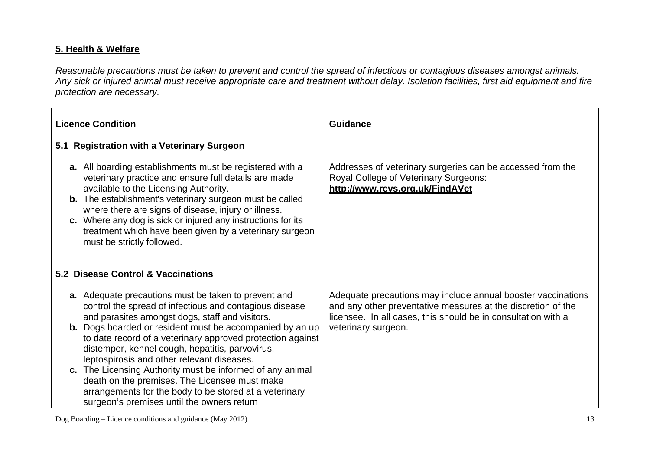## **5. Health & Welfare**

*Reasonable precautions must be taken to prevent and control the spread of infectious or contagious diseases amongst animals. Any sick or injured animal must receive appropriate care and treatment without delay. Isolation facilities, first aid equipment and fire protection are necessary.* 

| <b>Licence Condition</b>                                                                                                                                                                                                                                                                                                                                                                                                                                                                                                                                                                                                   | <b>Guidance</b>                                                                                                                                                                                                      |
|----------------------------------------------------------------------------------------------------------------------------------------------------------------------------------------------------------------------------------------------------------------------------------------------------------------------------------------------------------------------------------------------------------------------------------------------------------------------------------------------------------------------------------------------------------------------------------------------------------------------------|----------------------------------------------------------------------------------------------------------------------------------------------------------------------------------------------------------------------|
| 5.1 Registration with a Veterinary Surgeon                                                                                                                                                                                                                                                                                                                                                                                                                                                                                                                                                                                 |                                                                                                                                                                                                                      |
| a. All boarding establishments must be registered with a<br>veterinary practice and ensure full details are made<br>available to the Licensing Authority.<br><b>b.</b> The establishment's veterinary surgeon must be called<br>where there are signs of disease, injury or illness.<br>c. Where any dog is sick or injured any instructions for its<br>treatment which have been given by a veterinary surgeon<br>must be strictly followed.                                                                                                                                                                              | Addresses of veterinary surgeries can be accessed from the<br>Royal College of Veterinary Surgeons:<br>http://www.rcvs.org.uk/FindAVet                                                                               |
| 5.2 Disease Control & Vaccinations                                                                                                                                                                                                                                                                                                                                                                                                                                                                                                                                                                                         |                                                                                                                                                                                                                      |
| a. Adequate precautions must be taken to prevent and<br>control the spread of infectious and contagious disease<br>and parasites amongst dogs, staff and visitors.<br><b>b.</b> Dogs boarded or resident must be accompanied by an up<br>to date record of a veterinary approved protection against<br>distemper, kennel cough, hepatitis, parvovirus,<br>leptospirosis and other relevant diseases.<br>c. The Licensing Authority must be informed of any animal<br>death on the premises. The Licensee must make<br>arrangements for the body to be stored at a veterinary<br>surgeon's premises until the owners return | Adequate precautions may include annual booster vaccinations<br>and any other preventative measures at the discretion of the<br>licensee. In all cases, this should be in consultation with a<br>veterinary surgeon. |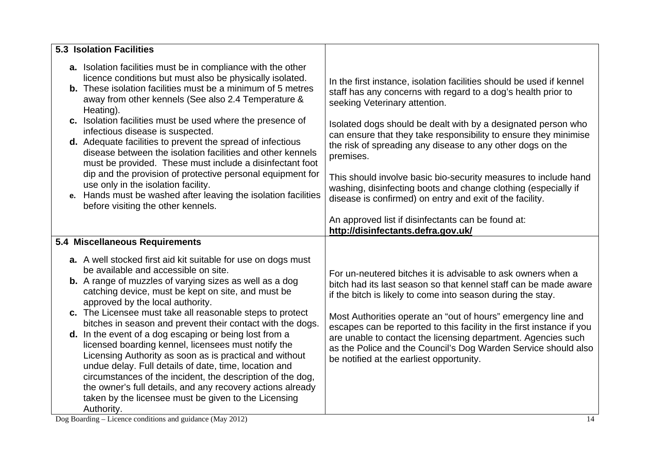| <b>5.3 Isolation Facilities</b>                                                                                                                                                                                                                                                                                                                                                                                                                                                                                                                                                                                                                                                                                                                                                                                                     |                                                                                                                                                                                                                                                                                                                                                                                                                                                                                                                          |
|-------------------------------------------------------------------------------------------------------------------------------------------------------------------------------------------------------------------------------------------------------------------------------------------------------------------------------------------------------------------------------------------------------------------------------------------------------------------------------------------------------------------------------------------------------------------------------------------------------------------------------------------------------------------------------------------------------------------------------------------------------------------------------------------------------------------------------------|--------------------------------------------------------------------------------------------------------------------------------------------------------------------------------------------------------------------------------------------------------------------------------------------------------------------------------------------------------------------------------------------------------------------------------------------------------------------------------------------------------------------------|
| a. Isolation facilities must be in compliance with the other<br>licence conditions but must also be physically isolated.<br><b>b.</b> These isolation facilities must be a minimum of 5 metres<br>away from other kennels (See also 2.4 Temperature &<br>Heating).<br>c. Isolation facilities must be used where the presence of<br>infectious disease is suspected.<br>d. Adequate facilities to prevent the spread of infectious                                                                                                                                                                                                                                                                                                                                                                                                  | In the first instance, isolation facilities should be used if kennel<br>staff has any concerns with regard to a dog's health prior to<br>seeking Veterinary attention.<br>Isolated dogs should be dealt with by a designated person who<br>can ensure that they take responsibility to ensure they minimise                                                                                                                                                                                                              |
| disease between the isolation facilities and other kennels<br>must be provided. These must include a disinfectant foot<br>dip and the provision of protective personal equipment for<br>use only in the isolation facility.<br>e. Hands must be washed after leaving the isolation facilities<br>before visiting the other kennels.                                                                                                                                                                                                                                                                                                                                                                                                                                                                                                 | the risk of spreading any disease to any other dogs on the<br>premises.<br>This should involve basic bio-security measures to include hand<br>washing, disinfecting boots and change clothing (especially if<br>disease is confirmed) on entry and exit of the facility.<br>An approved list if disinfectants can be found at:                                                                                                                                                                                           |
|                                                                                                                                                                                                                                                                                                                                                                                                                                                                                                                                                                                                                                                                                                                                                                                                                                     | http://disinfectants.defra.gov.uk/                                                                                                                                                                                                                                                                                                                                                                                                                                                                                       |
| 5.4 Miscellaneous Requirements                                                                                                                                                                                                                                                                                                                                                                                                                                                                                                                                                                                                                                                                                                                                                                                                      |                                                                                                                                                                                                                                                                                                                                                                                                                                                                                                                          |
| a. A well stocked first aid kit suitable for use on dogs must<br>be available and accessible on site.<br><b>b.</b> A range of muzzles of varying sizes as well as a dog<br>catching device, must be kept on site, and must be<br>approved by the local authority.<br>c. The Licensee must take all reasonable steps to protect<br>bitches in season and prevent their contact with the dogs.<br>d. In the event of a dog escaping or being lost from a<br>licensed boarding kennel, licensees must notify the<br>Licensing Authority as soon as is practical and without<br>undue delay. Full details of date, time, location and<br>circumstances of the incident, the description of the dog,<br>the owner's full details, and any recovery actions already<br>taken by the licensee must be given to the Licensing<br>Authority. | For un-neutered bitches it is advisable to ask owners when a<br>bitch had its last season so that kennel staff can be made aware<br>if the bitch is likely to come into season during the stay.<br>Most Authorities operate an "out of hours" emergency line and<br>escapes can be reported to this facility in the first instance if you<br>are unable to contact the licensing department. Agencies such<br>as the Police and the Council's Dog Warden Service should also<br>be notified at the earliest opportunity. |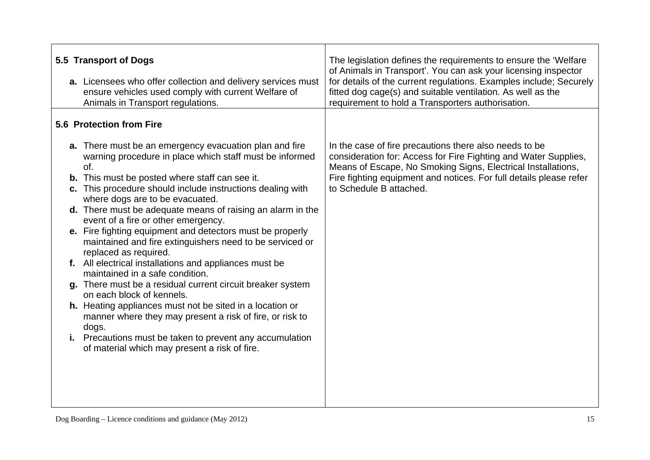| 5.5 Transport of Dogs<br>a. Licensees who offer collection and delivery services must<br>ensure vehicles used comply with current Welfare of<br>Animals in Transport regulations.                                                                                                                                                                                                                                                                                                                                                                                                                                                                                                                                                                                                                                                                                                                                                                                               | The legislation defines the requirements to ensure the 'Welfare'<br>of Animals in Transport'. You can ask your licensing inspector<br>for details of the current regulations. Examples include; Securely<br>fitted dog cage(s) and suitable ventilation. As well as the<br>requirement to hold a Transporters authorisation. |
|---------------------------------------------------------------------------------------------------------------------------------------------------------------------------------------------------------------------------------------------------------------------------------------------------------------------------------------------------------------------------------------------------------------------------------------------------------------------------------------------------------------------------------------------------------------------------------------------------------------------------------------------------------------------------------------------------------------------------------------------------------------------------------------------------------------------------------------------------------------------------------------------------------------------------------------------------------------------------------|------------------------------------------------------------------------------------------------------------------------------------------------------------------------------------------------------------------------------------------------------------------------------------------------------------------------------|
| 5.6 Protection from Fire                                                                                                                                                                                                                                                                                                                                                                                                                                                                                                                                                                                                                                                                                                                                                                                                                                                                                                                                                        |                                                                                                                                                                                                                                                                                                                              |
| a. There must be an emergency evacuation plan and fire<br>warning procedure in place which staff must be informed<br>of.<br><b>b.</b> This must be posted where staff can see it.<br>c. This procedure should include instructions dealing with<br>where dogs are to be evacuated.<br>d. There must be adequate means of raising an alarm in the<br>event of a fire or other emergency.<br>e. Fire fighting equipment and detectors must be properly<br>maintained and fire extinguishers need to be serviced or<br>replaced as required.<br>f. All electrical installations and appliances must be<br>maintained in a safe condition.<br>g. There must be a residual current circuit breaker system<br>on each block of kennels.<br>h. Heating appliances must not be sited in a location or<br>manner where they may present a risk of fire, or risk to<br>dogs.<br>i. Precautions must be taken to prevent any accumulation<br>of material which may present a risk of fire. | In the case of fire precautions there also needs to be<br>consideration for: Access for Fire Fighting and Water Supplies,<br>Means of Escape, No Smoking Signs, Electrical Installations,<br>Fire fighting equipment and notices. For full details please refer<br>to Schedule B attached.                                   |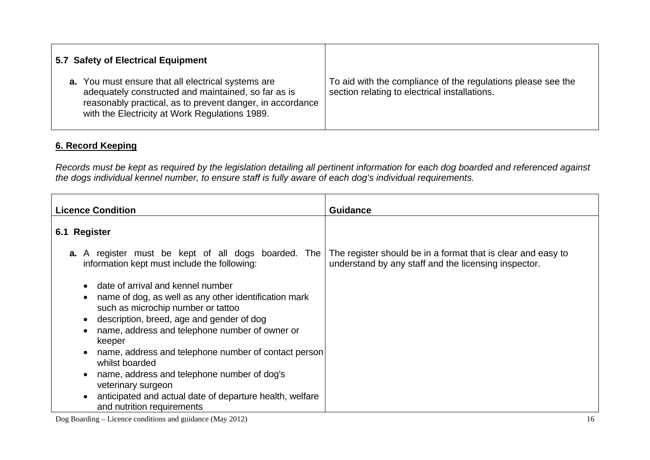| 5.7 Safety of Electrical Equipment                                                                                                                                                                                              |                                                                                                               |
|---------------------------------------------------------------------------------------------------------------------------------------------------------------------------------------------------------------------------------|---------------------------------------------------------------------------------------------------------------|
| <b>a.</b> You must ensure that all electrical systems are<br>adequately constructed and maintained, so far as is<br>reasonably practical, as to prevent danger, in accordance<br>with the Electricity at Work Regulations 1989. | To aid with the compliance of the regulations please see the<br>section relating to electrical installations. |

## **6. Record Keeping**

*Records must be kept as required by the legislation detailing all pertinent information for each dog boarded and referenced against the dogs individual kennel number, to ensure staff is fully aware of each dog's individual requirements.* 

| <b>Licence Condition</b>                                                                                                                                                                                                                                                                                                                                | <b>Guidance</b>                                                                                                      |
|---------------------------------------------------------------------------------------------------------------------------------------------------------------------------------------------------------------------------------------------------------------------------------------------------------------------------------------------------------|----------------------------------------------------------------------------------------------------------------------|
| 6.1 Register                                                                                                                                                                                                                                                                                                                                            |                                                                                                                      |
| <b>a.</b> A register must be kept of all dogs boarded. The<br>information kept must include the following:                                                                                                                                                                                                                                              | The register should be in a format that is clear and easy to<br>understand by any staff and the licensing inspector. |
| date of arrival and kennel number<br>name of dog, as well as any other identification mark<br>٠<br>such as microchip number or tattoo<br>description, breed, age and gender of dog<br>$\bullet$<br>name, address and telephone number of owner or<br>٠<br>keeper<br>name, address and telephone number of contact person<br>$\bullet$<br>whilst boarded |                                                                                                                      |
| name, address and telephone number of dog's<br>veterinary surgeon<br>anticipated and actual date of departure health, welfare<br>$\bullet$<br>and nutrition requirements                                                                                                                                                                                |                                                                                                                      |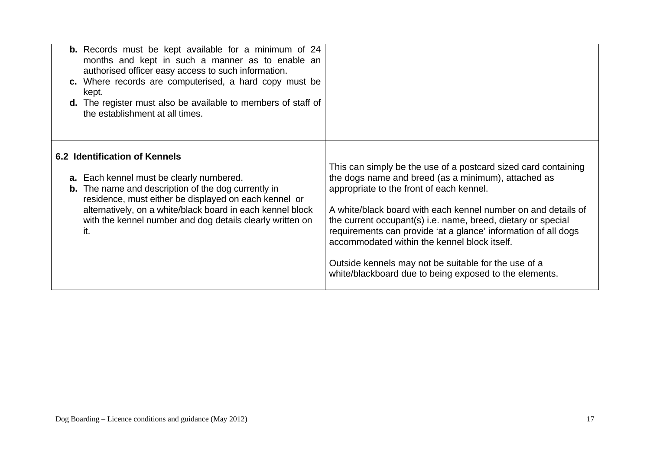| <b>b.</b> Records must be kept available for a minimum of 24<br>months and kept in such a manner as to enable an<br>authorised officer easy access to such information.<br>c. Where records are computerised, a hard copy must be<br>kept.<br><b>d.</b> The register must also be available to members of staff of<br>the establishment at all times. |                                                                                                                                                                                                                                                                                                                                                                                                                                                                                                                                        |
|-------------------------------------------------------------------------------------------------------------------------------------------------------------------------------------------------------------------------------------------------------------------------------------------------------------------------------------------------------|----------------------------------------------------------------------------------------------------------------------------------------------------------------------------------------------------------------------------------------------------------------------------------------------------------------------------------------------------------------------------------------------------------------------------------------------------------------------------------------------------------------------------------------|
| 6.2 Identification of Kennels<br><b>a.</b> Each kennel must be clearly numbered.<br><b>b.</b> The name and description of the dog currently in<br>residence, must either be displayed on each kennel or<br>alternatively, on a white/black board in each kennel block<br>with the kennel number and dog details clearly written on<br>it.             | This can simply be the use of a postcard sized card containing<br>the dogs name and breed (as a minimum), attached as<br>appropriate to the front of each kennel.<br>A white/black board with each kennel number on and details of<br>the current occupant(s) i.e. name, breed, dietary or special<br>requirements can provide 'at a glance' information of all dogs<br>accommodated within the kennel block itself.<br>Outside kennels may not be suitable for the use of a<br>white/blackboard due to being exposed to the elements. |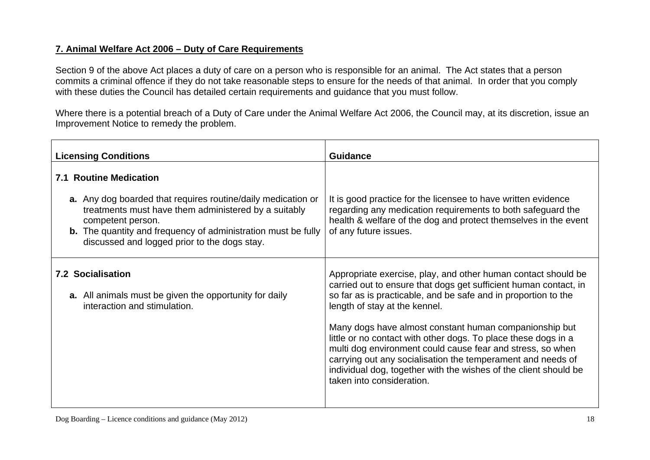## **7. Animal Welfare Act 2006 – Duty of Care Requirements**

Section 9 of the above Act places a duty of care on a person who is responsible for an animal. The Act states that a person commits a criminal offence if they do not take reasonable steps to ensure for the needs of that animal. In order that you comply with these duties the Council has detailed certain requirements and guidance that you must follow.

Where there is a potential breach of a Duty of Care under the Animal Welfare Act 2006, the Council may, at its discretion, issue an Improvement Notice to remedy the problem.

| <b>Guidance</b>                                                                                                                                                                                                                                                                                                                                                                                                                                                                                                                                                   |
|-------------------------------------------------------------------------------------------------------------------------------------------------------------------------------------------------------------------------------------------------------------------------------------------------------------------------------------------------------------------------------------------------------------------------------------------------------------------------------------------------------------------------------------------------------------------|
| It is good practice for the licensee to have written evidence<br>regarding any medication requirements to both safeguard the<br>health & welfare of the dog and protect themselves in the event<br>of any future issues.                                                                                                                                                                                                                                                                                                                                          |
| Appropriate exercise, play, and other human contact should be<br>carried out to ensure that dogs get sufficient human contact, in<br>so far as is practicable, and be safe and in proportion to the<br>length of stay at the kennel.<br>Many dogs have almost constant human companionship but<br>little or no contact with other dogs. To place these dogs in a<br>multi dog environment could cause fear and stress, so when<br>carrying out any socialisation the temperament and needs of<br>individual dog, together with the wishes of the client should be |
| taken into consideration.                                                                                                                                                                                                                                                                                                                                                                                                                                                                                                                                         |
|                                                                                                                                                                                                                                                                                                                                                                                                                                                                                                                                                                   |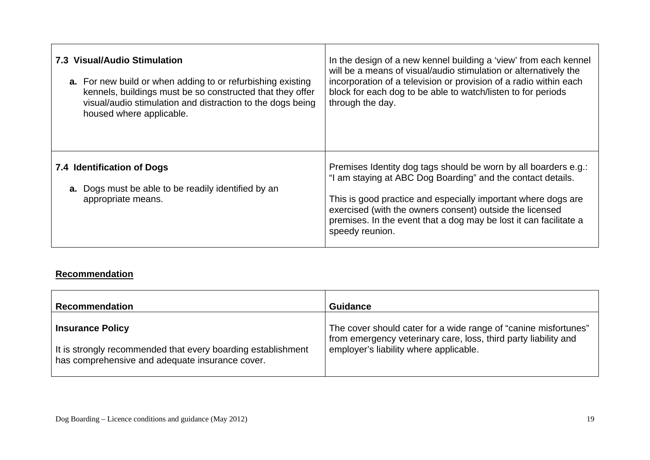| 7.3 Visual/Audio Stimulation                                                                                   | In the design of a new kennel building a 'view' from each kennel                                                                                                                                                                                                                                                                                    |
|----------------------------------------------------------------------------------------------------------------|-----------------------------------------------------------------------------------------------------------------------------------------------------------------------------------------------------------------------------------------------------------------------------------------------------------------------------------------------------|
| <b>a.</b> For new build or when adding to or refurbishing existing                                             | will be a means of visual/audio stimulation or alternatively the                                                                                                                                                                                                                                                                                    |
| kennels, buildings must be so constructed that they offer                                                      | incorporation of a television or provision of a radio within each                                                                                                                                                                                                                                                                                   |
| visual/audio stimulation and distraction to the dogs being                                                     | block for each dog to be able to watch/listen to for periods                                                                                                                                                                                                                                                                                        |
| housed where applicable.                                                                                       | through the day.                                                                                                                                                                                                                                                                                                                                    |
| 7.4 Identification of Dogs<br><b>a.</b> Dogs must be able to be readily identified by an<br>appropriate means. | Premises Identity dog tags should be worn by all boarders e.g.:<br>"I am staying at ABC Dog Boarding" and the contact details.<br>This is good practice and especially important where dogs are<br>exercised (with the owners consent) outside the licensed<br>premises. In the event that a dog may be lost it can facilitate a<br>speedy reunion. |

#### **Recommendation**

| <b>Recommendation</b>                                        | <b>Guidance</b>                                                 |
|--------------------------------------------------------------|-----------------------------------------------------------------|
| <b>Insurance Policy</b>                                      | The cover should cater for a wide range of "canine misfortunes" |
| It is strongly recommended that every boarding establishment | from emergency veterinary care, loss, third party liability and |
| has comprehensive and adequate insurance cover.              | employer's liability where applicable.                          |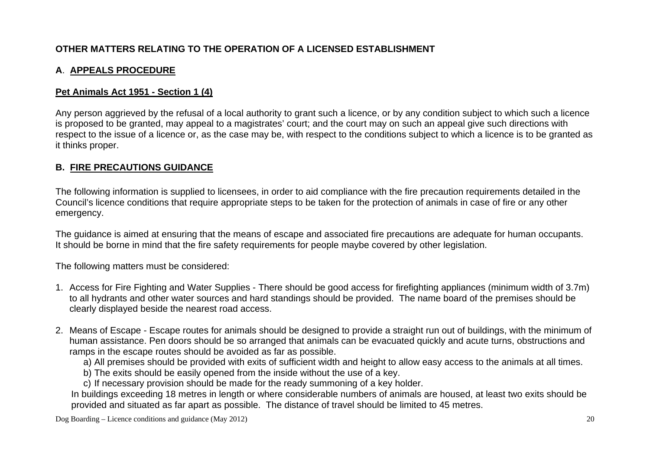## **OTHER MATTERS RELATING TO THE OPERATION OF A LICENSED ESTABLISHMENT**

## **A**. **APPEALS PROCEDURE**

### **Pet Animals Act 1951 - Section 1 (4)**

Any person aggrieved by the refusal of a local authority to grant such a licence, or by any condition subject to which such a licence is proposed to be granted, may appeal to a magistrates' court; and the court may on such an appeal give such directions with respect to the issue of a licence or, as the case may be, with respect to the conditions subject to which a licence is to be granted as it thinks proper.

### **B. FIRE PRECAUTIONS GUIDANCE**

The following information is supplied to licensees, in order to aid compliance with the fire precaution requirements detailed in the Council's licence conditions that require appropriate steps to be taken for the protection of animals in case of fire or any other emergency.

The guidance is aimed at ensuring that the means of escape and associated fire precautions are adequate for human occupants. It should be borne in mind that the fire safety requirements for people maybe covered by other legislation.

The following matters must be considered:

- 1. Access for Fire Fighting and Water Supplies There should be good access for firefighting appliances (minimum width of 3.7m) to all hydrants and other water sources and hard standings should be provided. The name board of the premises should be clearly displayed beside the nearest road access.
- 2. Means of Escape Escape routes for animals should be designed to provide a straight run out of buildings, with the minimum of human assistance. Pen doors should be so arranged that animals can be evacuated quickly and acute turns, obstructions and ramps in the escape routes should be avoided as far as possible.
	- a) All premises should be provided with exits of sufficient width and height to allow easy access to the animals at all times.
	- b) The exits should be easily opened from the inside without the use of a key.
	- c) If necessary provision should be made for the ready summoning of a key holder.

In buildings exceeding 18 metres in length or where considerable numbers of animals are housed, at least two exits should be provided and situated as far apart as possible. The distance of travel should be limited to 45 metres.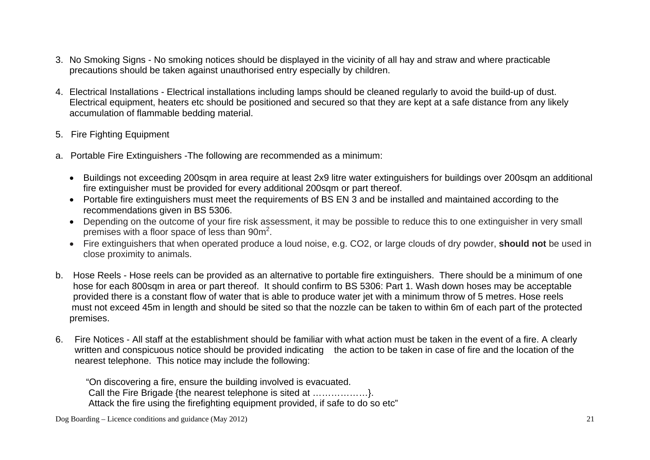- 3. No Smoking Signs No smoking notices should be displayed in the vicinity of all hay and straw and where practicable precautions should be taken against unauthorised entry especially by children.
- 4. Electrical Installations Electrical installations including lamps should be cleaned regularly to avoid the build-up of dust. Electrical equipment, heaters etc should be positioned and secured so that they are kept at a safe distance from any likely accumulation of flammable bedding material.
- 5. Fire Fighting Equipment
- a. Portable Fire Extinguishers -The following are recommended as a minimum:
	- Buildings not exceeding 200sqm in area require at least 2x9 litre water extinguishers for buildings over 200sqm an additional fire extinguisher must be provided for every additional 200sqm or part thereof.
	- Portable fire extinguishers must meet the requirements of BS EN 3 and be installed and maintained according to the recommendations given in BS 5306.
	- Depending on the outcome of your fire risk assessment, it may be possible to reduce this to one extinguisher in very small premises with a floor space of less than 90m2.
	- Fire extinguishers that when operated produce a loud noise, e.g. CO2, or large clouds of dry powder, **should not** be used in close proximity to animals.
- b. Hose Reels Hose reels can be provided as an alternative to portable fire extinguishers. There should be a minimum of one hose for each 800sqm in area or part thereof. It should confirm to BS 5306: Part 1. Wash down hoses may be acceptable provided there is a constant flow of water that is able to produce water jet with a minimum throw of 5 metres. Hose reels must not exceed 45m in length and should be sited so that the nozzle can be taken to within 6m of each part of the protected premises.
- 6. Fire Notices All staff at the establishment should be familiar with what action must be taken in the event of a fire. A clearly written and conspicuous notice should be provided indicating the action to be taken in case of fire and the location of the nearest telephone. This notice may include the following:

 "On discovering a fire, ensure the building involved is evacuated. Call the Fire Brigade {the nearest telephone is sited at ………………}. Attack the fire using the firefighting equipment provided, if safe to do so etc"